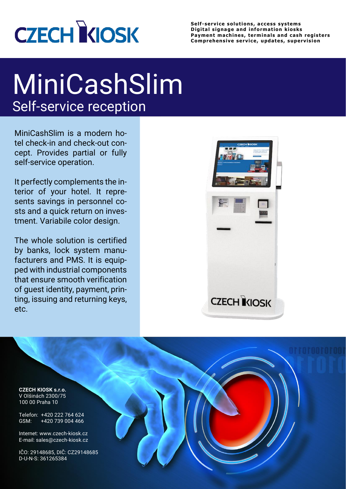

**Self -service solutions, access systems Digital signage and information kiosks Payment machines, terminals and cash registers Comprehensive service, updates, supervision**

## MiniCashSlim Self-service reception

MiniCashSlim is a modern hotel check-in and check-out concept. Provides partial or fully self-service operation.

It perfectly complements the interior of your hotel. It represents savings in personnel costs and a quick return on investment. Variabile color design.

The whole solution is certified by banks, lock system manufacturers and PMS. It is equipped with industrial components that ensure smooth verification of guest identity, payment, printing, issuing and returning keys, etc.